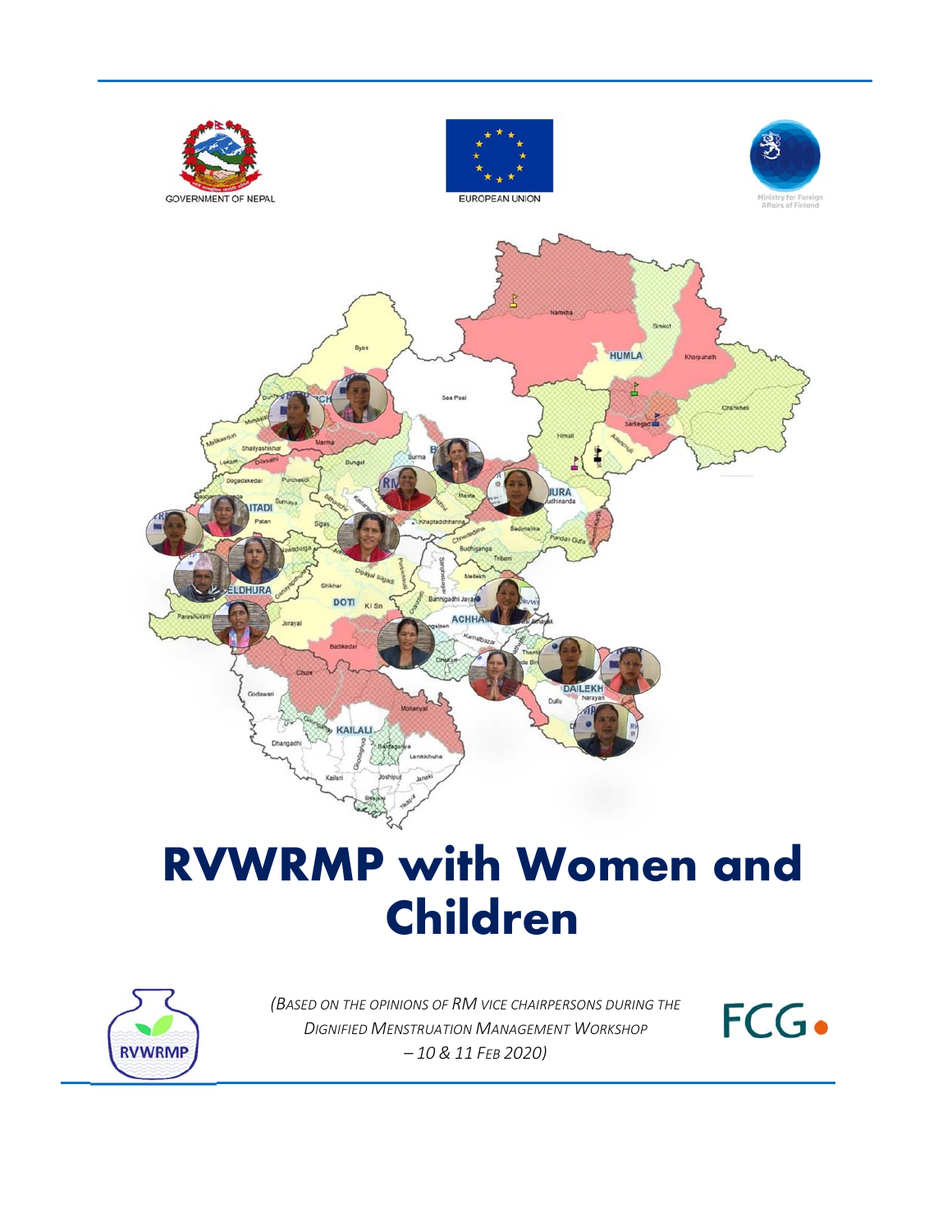

# i<br>I **RVWRMP with Women and Children**



 $\overline{a}$  *– 10 & 11 FEB 2020) (BASED ON THE OPINIONS OF RM VICE CHAIRPERSONS DURING THE DIGNIFIED MENSTRUATION MANAGEMENT WORKSHOP* 

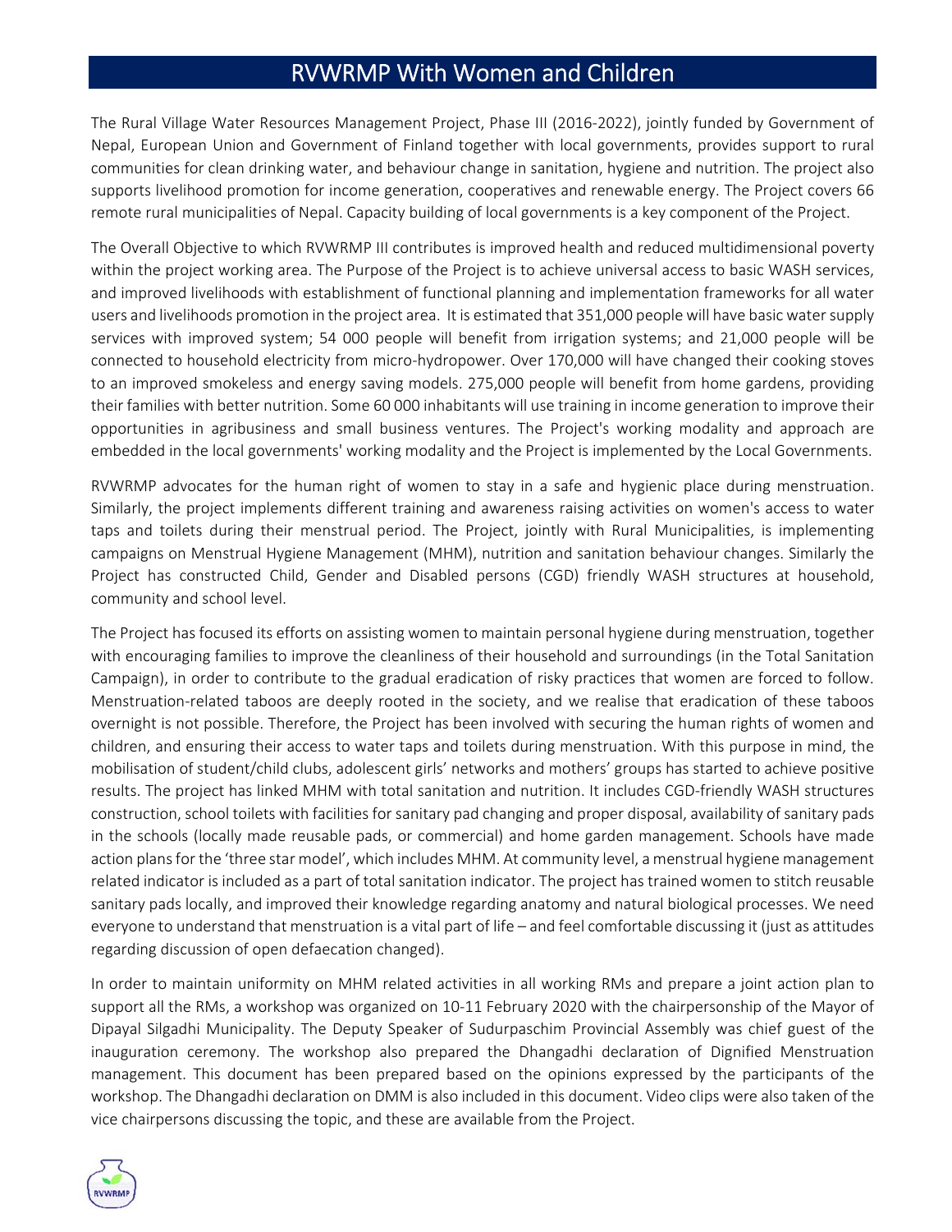The Rural Village Water Resources Management Project, Phase III (2016‐2022), jointly funded by Government of Nepal, European Union and Government of Finland together with local governments, provides support to rural communities for clean drinking water, and behaviour change in sanitation, hygiene and nutrition. The project also supports livelihood promotion for income generation, cooperatives and renewable energy. The Project covers 66 remote rural municipalities of Nepal. Capacity building of local governments is a key component of the Project.

The Overall Objective to which RVWRMP III contributes is improved health and reduced multidimensional poverty within the project working area. The Purpose of the Project is to achieve universal access to basic WASH services, and improved livelihoods with establishment of functional planning and implementation frameworks for all water users and livelihoods promotion in the project area. It is estimated that 351,000 people will have basic water supply services with improved system; 54 000 people will benefit from irrigation systems; and 21,000 people will be connected to household electricity from micro-hydropower. Over 170,000 will have changed their cooking stoves to an improved smokeless and energy saving models. 275,000 people will benefit from home gardens, providing their families with better nutrition. Some 60 000 inhabitants will use training in income generation to improve their opportunities in agribusiness and small business ventures. The Project's working modality and approach are embedded in the local governments' working modality and the Project is implemented by the Local Governments.

RVWRMP advocates for the human right of women to stay in a safe and hygienic place during menstruation. Similarly, the project implements different training and awareness raising activities on women's access to water taps and toilets during their menstrual period. The Project, jointly with Rural Municipalities, is implementing campaigns on Menstrual Hygiene Management (MHM), nutrition and sanitation behaviour changes. Similarly the Project has constructed Child, Gender and Disabled persons (CGD) friendly WASH structures at household, community and school level.

The Project has focused its efforts on assisting women to maintain personal hygiene during menstruation, together with encouraging families to improve the cleanliness of their household and surroundings (in the Total Sanitation Campaign), in order to contribute to the gradual eradication of risky practices that women are forced to follow. Menstruation‐related taboos are deeply rooted in the society, and we realise that eradication of these taboos overnight is not possible. Therefore, the Project has been involved with securing the human rights of women and children, and ensuring their access to water taps and toilets during menstruation. With this purpose in mind, the mobilisation of student/child clubs, adolescent girls' networks and mothers' groups has started to achieve positive results. The project has linked MHM with total sanitation and nutrition. It includes CGD‐friendly WASH structures construction, school toilets with facilities for sanitary pad changing and proper disposal, availability of sanitary pads in the schools (locally made reusable pads, or commercial) and home garden management. Schools have made action plans for the 'three star model', which includes MHM. At community level, a menstrual hygiene management related indicator is included as a part of total sanitation indicator. The project has trained women to stitch reusable sanitary pads locally, and improved their knowledge regarding anatomy and natural biological processes. We need everyone to understand that menstruation is a vital part of life – and feel comfortable discussing it (just as attitudes regarding discussion of open defaecation changed).

In order to maintain uniformity on MHM related activities in all working RMs and prepare a joint action plan to support all the RMs, a workshop was organized on 10‐11 February 2020 with the chairpersonship of the Mayor of Dipayal Silgadhi Municipality. The Deputy Speaker of Sudurpaschim Provincial Assembly was chief guest of the inauguration ceremony. The workshop also prepared the Dhangadhi declaration of Dignified Menstruation management. This document has been prepared based on the opinions expressed by the participants of the workshop. The Dhangadhi declaration on DMM is also included in this document. Video clips were also taken of the vice chairpersons discussing the topic, and these are available from the Project.

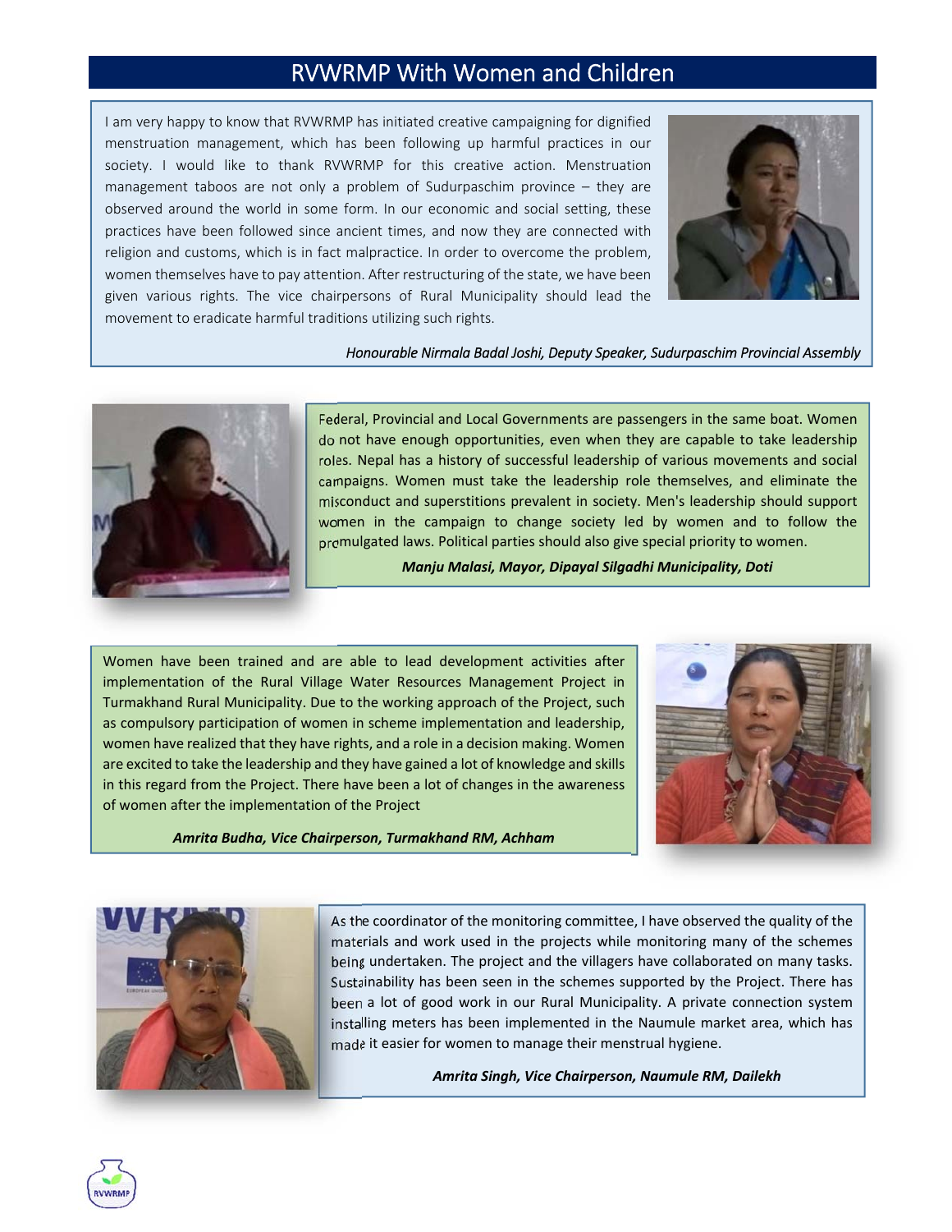I am very happy to know that RVWRMP has initiated creative campaigning for dignified menstruation management, which has been following up harmful practices in our society. I would like to thank RVWRMP for this creative action. Menstruation management taboos are not only a problem of Sudurpaschim province – they are observed around the world in some form. In our economic and social setting, these practices have been followed since ancient times, and now they are connected with religion and customs, which is in fact malpractice. In order to overcome the problem, women themselves have to pay attention. After restructuring of the state, we have been given various rights. The vice chairpersons of Rural Municipality should lead the movement to eradicate harmful traditions utilizing such rights.



#### *Honourable Nirmala Badal Joshi, Deputy Speaker, Sudurpaschim Provincial Assembly*



Federal, Provincial and Local Governments are passengers in the same boat. Women do not have enough opportunities, even when they are capable to take leadership roles. Nepal has a history of successful leadership of various movements and social campaigns. Women must take the leadership role themselves, and eliminate the misconduct and superstitions prevalent in society. Men's leadership should support women in the campaign to change society led by women and to follow the promulgated laws. Political parties should also give special priority to women.

*Manju Malasi, Mayor, Dipayal Silgadhi Municipality, Doti*

Women have been trained and are able to lead development activities after implementation of the Rural Village Water Resources Management Project in Turmakhand Rural Municipality. Due to the working approach of the Project, such as compulsory participation of women in scheme implementation and leadership, women have realized that they have rights, and a role in a decision making. Women are excited to take the leadership and they have gained a lot of knowledge and skills in this regard from the Project. There have been a lot of changes in the awareness of women after the implementation of the Project



*Amrita Budha, Vice Chairperson, Turmakhand RM, Achham*



As the coordinator of the monitoring committee, I have observed the quality of the materials and work used in the projects while monitoring many of the schemes being undertaken. The project and the villagers have collaborated on many tasks. Sustainability has been seen in the schemes supported by the Project. There has been a lot of good work in our Rural Municipality. A private connection system installing meters has been implemented in the Naumule market area, which has made it easier for women to manage their menstrual hygiene.

*Amrita Singh, Vice Chairperson, Naumule RM, Dailekh*

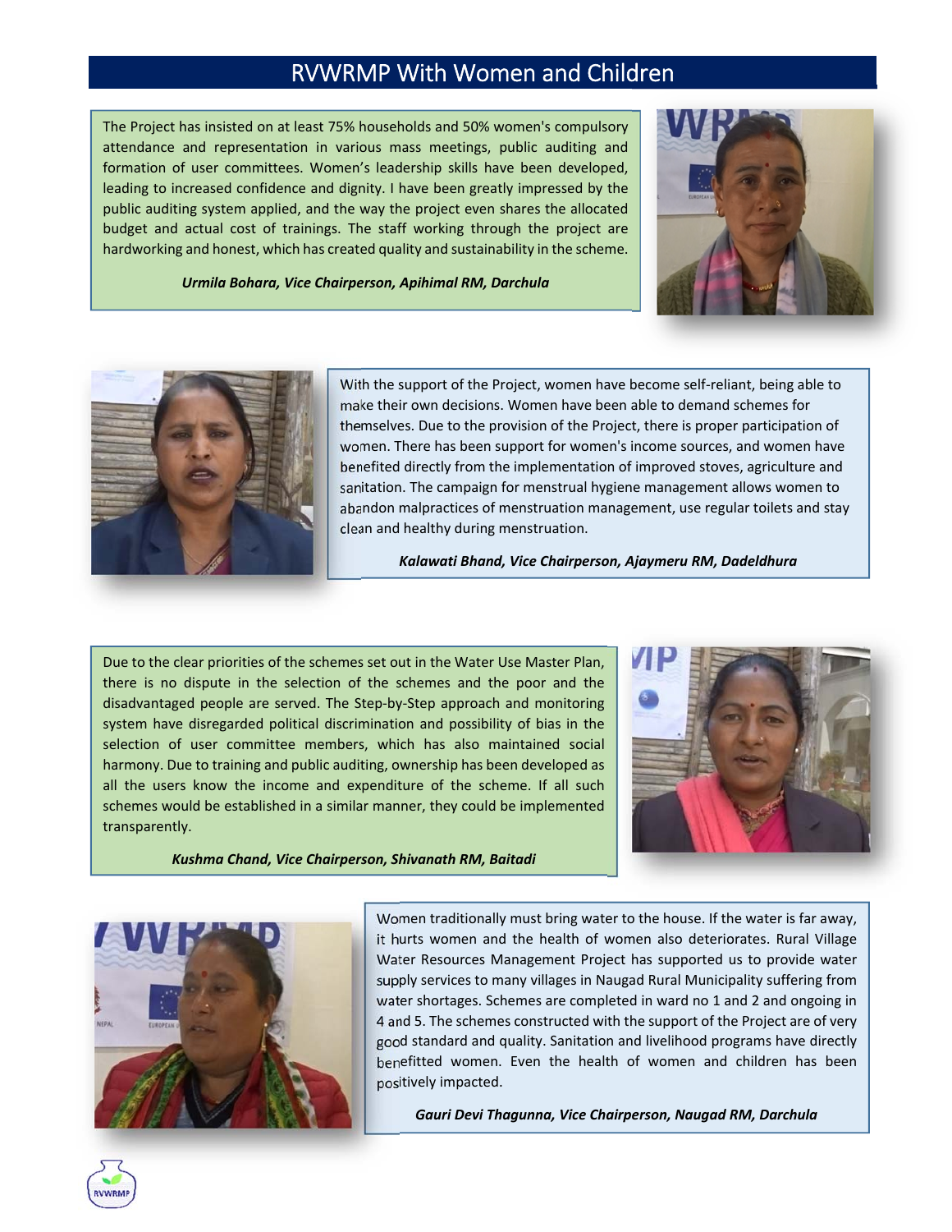The Project has insisted on at least 75% households and 50% women's compulsory attendance and representation in various mass meetings, public auditing and formation of user committees. Women's leadership skills have been developed, leading to increased confidence and dignity. I have been greatly impressed by the public auditing system applied, and the way the project even shares the allocated budget and actual cost of trainings. The staff working through the project are hardworking and honest, which has created quality and sustainability in the scheme.



*Urmila Bohara, Vice Chairperson, Apihimal RM, Darchula*



With the support of the Project, women have become self‐reliant, being able to make their own decisions. Women have been able to demand schemes for themselves. Due to the provision of the Project, there is proper participation of women. There has been support for women's income sources, and women have benefited directly from the implementation of improved stoves, agriculture and sanitation. The campaign for menstrual hygiene management allows women to abandon malpractices of menstruation management, use regular toilets and stay clean and healthy during menstruation.

*Kalawati Bhand, Vice Chairperson, Ajaymeru RM, Dadeldhura*

Due to the clear priorities of the schemes set out in the Water Use Master Plan, there is no dispute in the selection of the schemes and the poor and the disadvantaged people are served. The Step‐by‐Step approach and monitoring system have disregarded political discrimination and possibility of bias in the selection of user committee members, which has also maintained social harmony. Due to training and public auditing, ownership has been developed as all the users know the income and expenditure of the scheme. If all such schemes would be established in a similar manner, they could be implemented transparently.

*Kushma Chand, Vice Chairperson, Shivanath RM, Baitadi*





Women traditionally must bring water to the house. If the water is far away, it hurts women and the health of women also deteriorates. Rural Village Water Resources Management Project has supported us to provide water supply services to many villages in Naugad Rural Municipality suffering from water shortages. Schemes are completed in ward no 1 and 2 and ongoing in 4 and 5. The schemes constructed with the support of the Project are of very good standard and quality. Sanitation and livelihood programs have directly benefitted women. Even the health of women and children has been positively impacted.

*Gauri Devi Thagunna, Vice Chairperson, Naugad RM, Darchula*

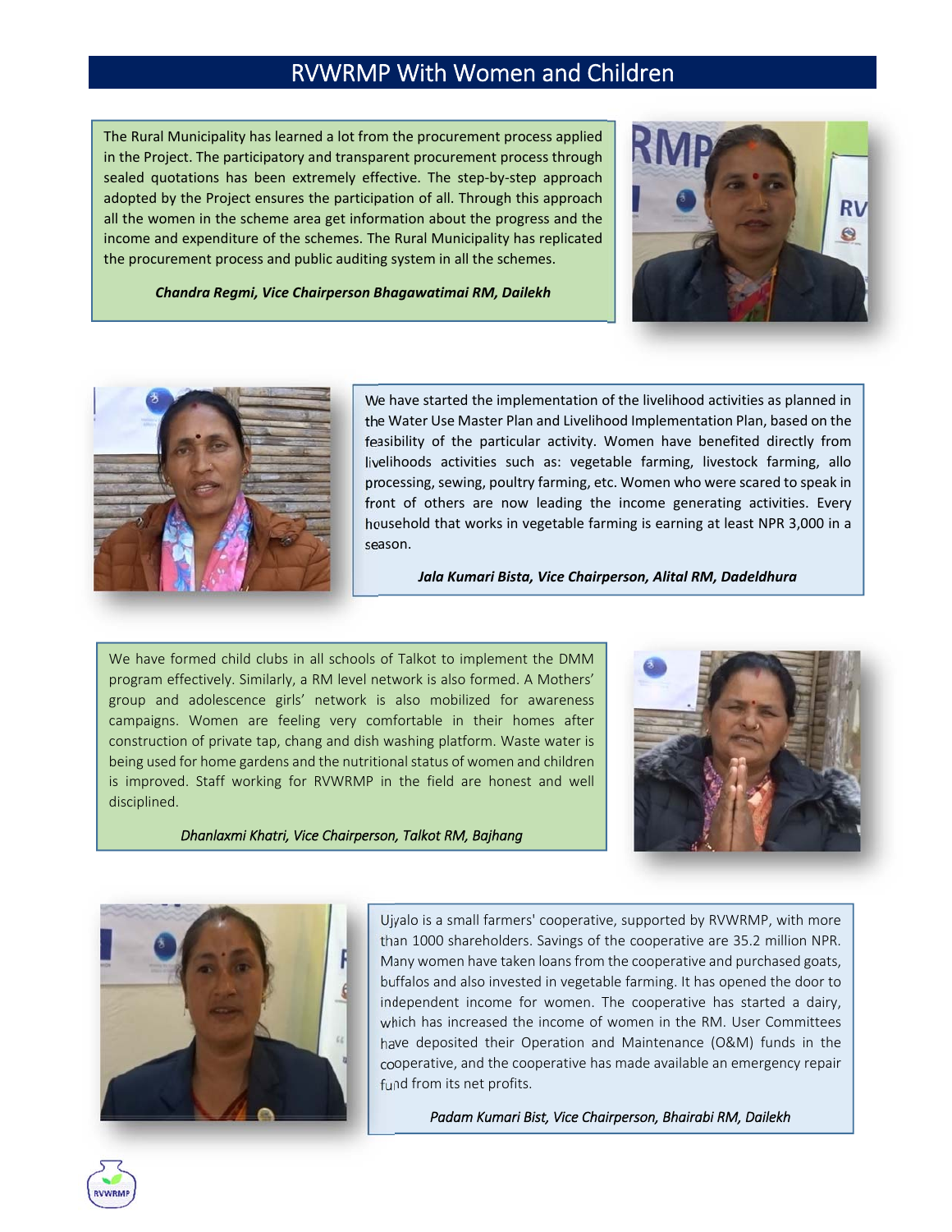<u> Tanzania (h. 1888).</u><br>Nati The Rural Municipality has learned a lot from the procurement process applied in the Project. The participatory and transparent procurement process through sealed quotations has been extremely effective. The step-by-step approach adopted by the Project ensures the participation of all. Through this approach all the women in the scheme area get information about the progress and the income and expenditure of the schemes. The Rural Municipality has replicated the procurement process and public auditing system in all the schemes.







We have started the implementation of the livelihood activities as planned in the Water Use Master Plan and Livelihood Implementation Plan, based on the feasibility of the particular activity. Women have benefited directly from livelihoods activities such as: vegetable farming, livestock farming, allo processing, sewing, poultry farming, etc. Women who were scared to speak in front of others are now leading the income generating activities. Every household that works in vegetable farming is earning at least NPR 3,000 in a season.

*Jala Kumari Bista, Vice Chairperson, Alital RM, Dadeldhura*

We have formed child clubs in all schools of Talkot to implement the DMM program effectively. Similarly, a RM level network is also formed. A Mothers' group and adolescence girls' network is also mobilized for awareness campaigns. Women are feeling very comfortable in their homes after construction of private tap, chang and dish washing platform. Waste water is being used for home gardens and the nutritional status of women and children is improved. Staff working for RVWRMP in the field are honest and well disciplined.



*Dhanlaxmi Khatri, Vice Chairperson, Talkot RM, Bajhang*



Ujyalo is a small farmers' cooperative, supported by RVWRMP, with more than 1000 shareholders. Savings of the cooperative are 35.2 million NPR. Many women have taken loans from the cooperative and purchased goats, buffalos and also invested in vegetable farming. It has opened the door to independent income for women. The cooperative has started a dairy, which has increased the income of women in the RM. User Committees have deposited their Operation and Maintenance (O&M) funds in the cooperative, and the cooperative has made available an emergency repair fund from its net profits.

*Padam Kumari Bist, Vice Chairperson, Bhairabi RM, Dailekh*

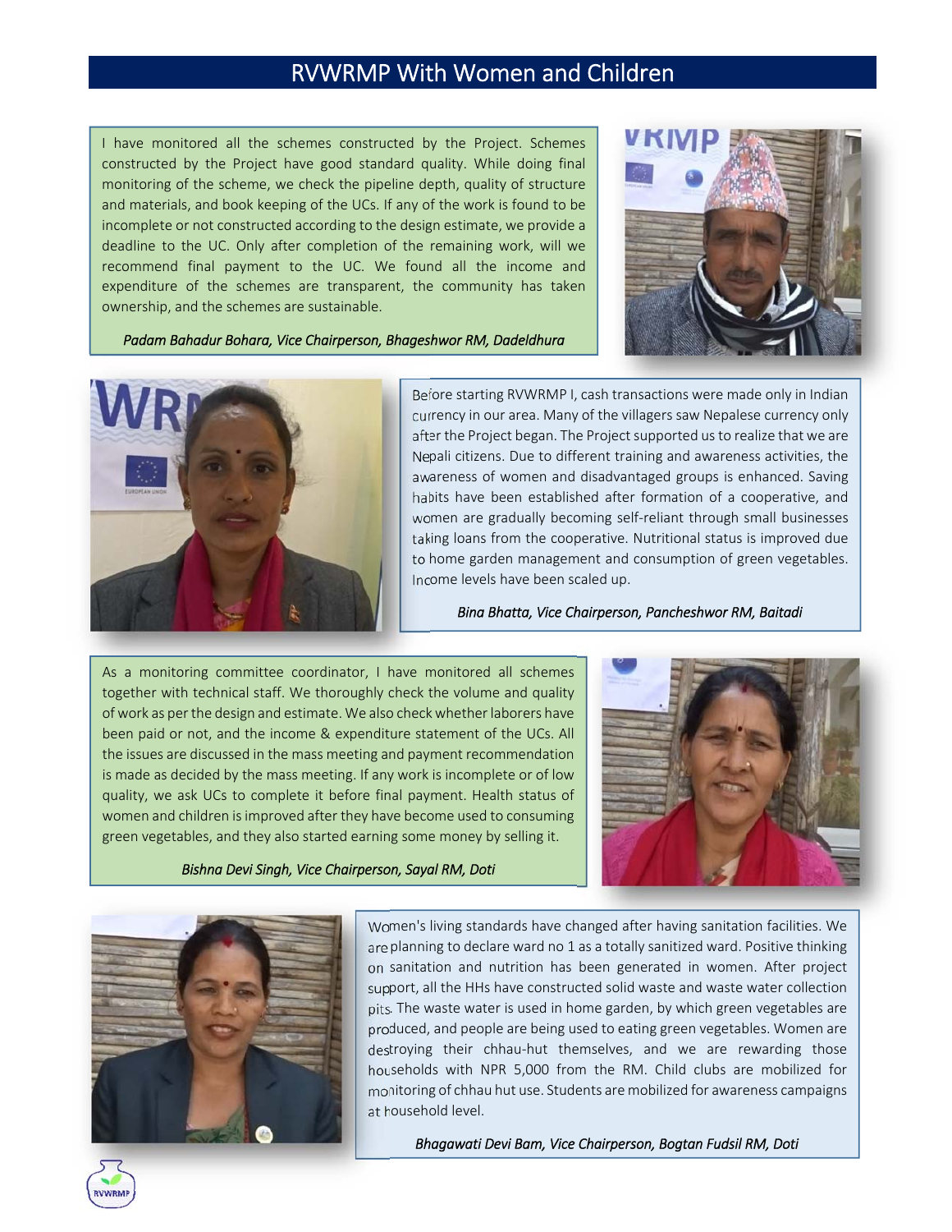I have monitored all the schemes constructed by the Project. Schemes constructed by the Project have good standard quality. While doing final monitoring of the scheme, we check the pipeline depth, quality of structure and materials, and book keeping of the UCs. If any of the work is found to be incomplete or not constructed according to the design estimate, we provide a deadline to the UC. Only after completion of the remaining work, will we recommend final payment to the UC. We found all the income and expenditure of the schemes are transparent, the community has taken ownership, and the schemes are sustainable.



*Padam Bahadur Bohara, Vice Chairperson, Bhageshwor RM, Dadeldhura*



Before starting RVWRMP I, cash transactions were made only in Indian currency in our area. Many of the villagers saw Nepalese currency only after the Project began. The Project supported us to realize that we are Nepali citizens. Due to different training and awareness activities, the awareness of women and disadvantaged groups is enhanced. Saving habits have been established after formation of a cooperative, and women are gradually becoming self-reliant through small businesses taking loans from the cooperative. Nutritional status is improved due to home garden management and consumption of green vegetables. Income levels have been scaled up.

*Bina Bhatta, Vice Chairperson, Pancheshwor RM, Baitadi*

As a monitoring committee coordinator, I have monitored all schemes together with technical staff. We thoroughly check the volume and quality of work as per the design and estimate. We also check whether laborers have been paid or not, and the income & expenditure statement of the UCs. All the issues are discussed in the mass meeting and payment recommendation is made as decided by the mass meeting. If any work is incomplete or of low quality, we ask UCs to complete it before final payment. Health status of women and children is improved after they have become used to consuming green vegetables, and they also started earning some money by selling it.



*Bishna Devi Singh, Vice Chairperson, Sayal RM, Doti*



Women's living standards have changed after having sanitation facilities. We are planning to declare ward no 1 as a totally sanitized ward. Positive thinking on sanitation and nutrition has been generated in women. After project support, all the HHs have constructed solid waste and waste water collection pits. The waste water is used in home garden, by which green vegetables are produced, and people are being used to eating green vegetables. Women are destroying their chhau-hut themselves, and we are rewarding those households with NPR 5,000 from the RM. Child clubs are mobilized for monitoring of chhau hut use. Students are mobilized for awareness campaigns at household level.

*Bhagawati Devi Bam, Vice Chairperson, Bogtan Fudsil RM, Doti*

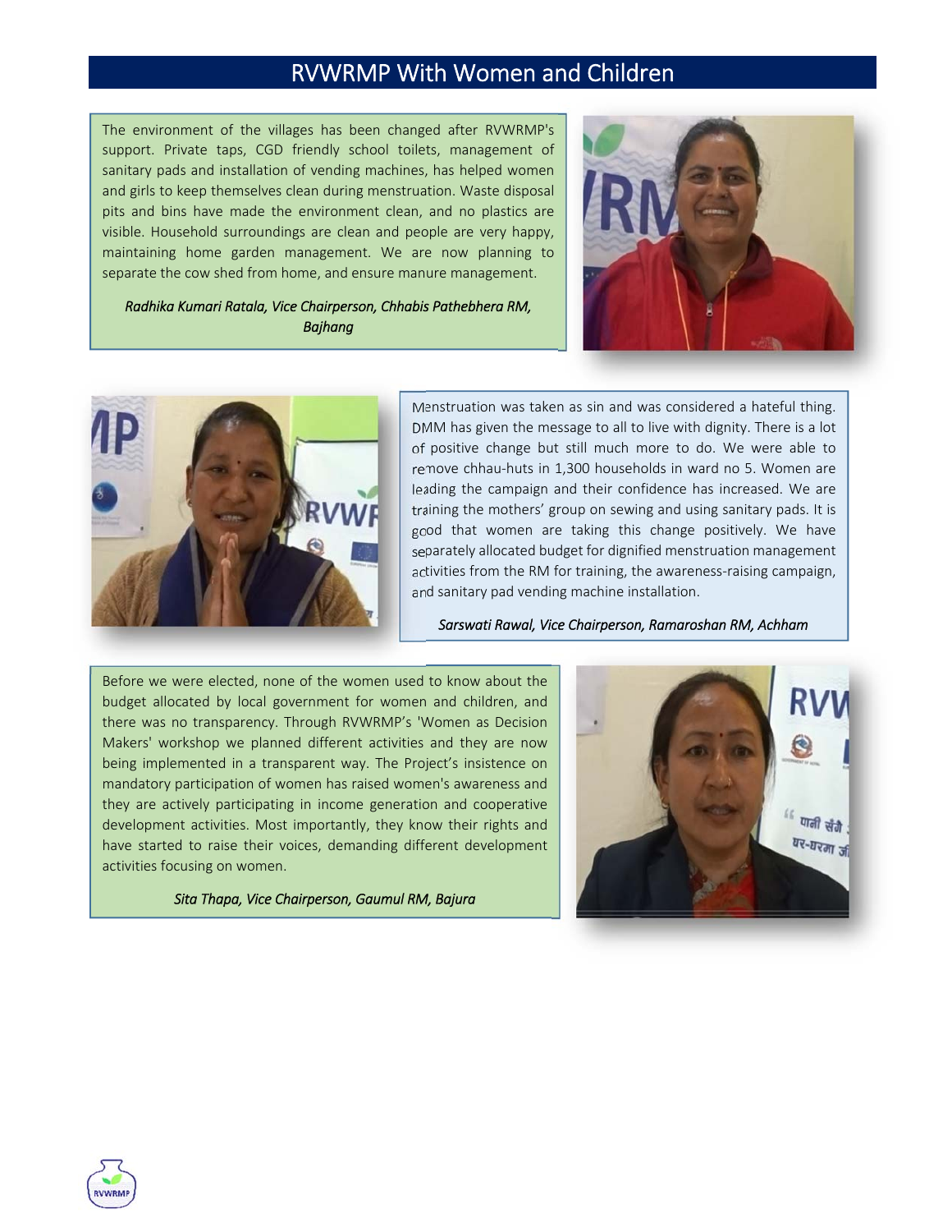The environment of the villages has been changed after RVWRMP's support. Private taps, CGD friendly school toilets, management of sanitary pads and installation of vending machines, has helped women and girls to keep themselves clean during menstruation. Waste disposal pits and bins have made the environment clean, and no plastics are visible. Household surroundings are clean and people are very happy, maintaining home garden management. We are now planning to separate the cow shed from home, and ensure manure management.

*Radhika Kumari Ratala, Vice Chairperson, Chhabis Pathebhera RM, Bajhang*





Menstruation was taken as sin and was considered a hateful thing. DMM has given the message to all to live with dignity. There is a lot of positive change but still much more to do. We were able to remove chhau-huts in 1,300 households in ward no 5. Women are leading the campaign and their confidence has increased. We are training the mothers' group on sewing and using sanitary pads. It is good that women are taking this change positively. We have separately allocated budget for dignified menstruation management activities from the RM for training, the awareness-raising campaign, and sanitary pad vending machine installation.

*Sarswati Rawal, Vice Chairperson, Ramaroshan RM, Achham*

 development activities. Most importantly, they know their rights and Before we were elected, none of the women used to know about the budget allocated by local government for women and children, and there was no transparency. Through RVWRMP's 'Women as Decision Makers' workshop we planned different activities and they are now being implemented in a transparent way. The Project's insistence on mandatory participation of women has raised women's awareness and they are actively participating in income generation and cooperative have started to raise their voices, demanding different development activities focusing on women.

*Sita Thapa, Vice Chairperson, Gaumul RM, Bajura*



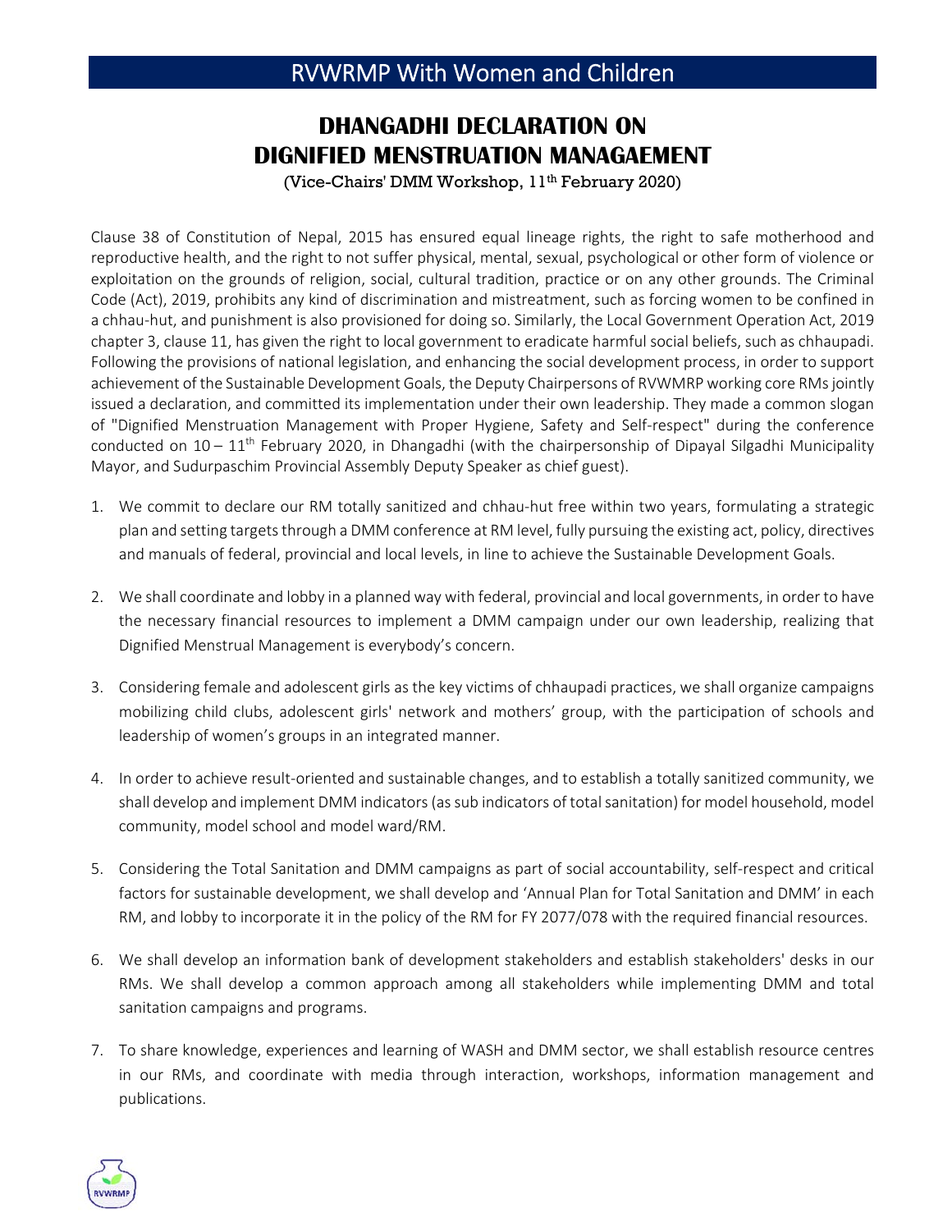#### **DHANGADHI DECLARATION ON DIGNIFIED MENSTRUATION MANAGAEMENT**

(Vice-Chairs' DMM Workshop, 11<sup>th</sup> February 2020)

Clause 38 of Constitution of Nepal, 2015 has ensured equal lineage rights, the right to safe motherhood and reproductive health, and the right to not suffer physical, mental, sexual, psychological or other form of violence or exploitation on the grounds of religion, social, cultural tradition, practice or on any other grounds. The Criminal Code (Act), 2019, prohibits any kind of discrimination and mistreatment, such as forcing women to be confined in a chhau-hut, and punishment is also provisioned for doing so. Similarly, the Local Government Operation Act, 2019 chapter 3, clause 11, has given the right to local government to eradicate harmful social beliefs, such as chhaupadi. Following the provisions of national legislation, and enhancing the social development process, in order to support achievement of the Sustainable Development Goals, the Deputy Chairpersons of RVWMRP working core RMs jointly issued a declaration, and committed its implementation under their own leadership. They made a common slogan of "Dignified Menstruation Management with Proper Hygiene, Safety and Self‐respect" during the conference conducted on  $10 - 11$ <sup>th</sup> February 2020, in Dhangadhi (with the chairpersonship of Dipayal Silgadhi Municipality Mayor, and Sudurpaschim Provincial Assembly Deputy Speaker as chief guest).

- 1. We commit to declare our RM totally sanitized and chhau‐hut free within two years, formulating a strategic plan and setting targets through a DMM conference at RM level, fully pursuing the existing act, policy, directives and manuals of federal, provincial and local levels, in line to achieve the Sustainable Development Goals.
- 2. We shall coordinate and lobby in a planned way with federal, provincial and local governments, in order to have the necessary financial resources to implement a DMM campaign under our own leadership, realizing that Dignified Menstrual Management is everybody's concern.
- 3. Considering female and adolescent girls as the key victims of chhaupadi practices, we shall organize campaigns mobilizing child clubs, adolescent girls' network and mothers' group, with the participation of schools and leadership of women's groups in an integrated manner.
- 4. In order to achieve result‐oriented and sustainable changes, and to establish a totally sanitized community, we shall develop and implement DMM indicators(assub indicators of totalsanitation) for model household, model community, model school and model ward/RM.
- 5. Considering the Total Sanitation and DMM campaigns as part of social accountability, self‐respect and critical factors for sustainable development, we shall develop and 'Annual Plan for Total Sanitation and DMM' in each RM, and lobby to incorporate it in the policy of the RM for FY 2077/078 with the required financial resources.
- 6. We shall develop an information bank of development stakeholders and establish stakeholders' desks in our RMs. We shall develop a common approach among all stakeholders while implementing DMM and total sanitation campaigns and programs.
- 7. To share knowledge, experiences and learning of WASH and DMM sector, we shall establish resource centres in our RMs, and coordinate with media through interaction, workshops, information management and publications.